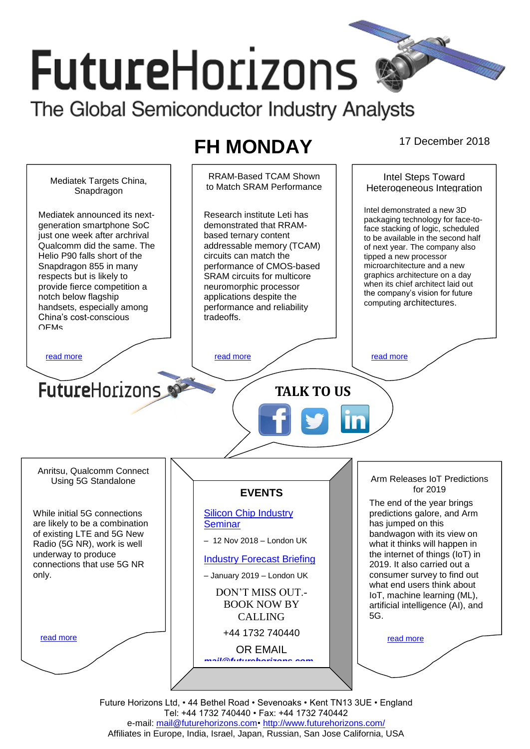# **FutureHorizons** The Global Semiconductor Industry Analysts

# **FH MONDAY** 17 December 2018



Future Horizons Ltd, • 44 Bethel Road • Sevenoaks • Kent TN13 3UE • England Tel: +44 1732 740440 • Fax: +44 1732 740442 e-mail: mail@futurehorizons.com• http://www.futurehorizons.com/ Affiliates in Europe, India, Israel, Japan, Russian, San Jose California, USA